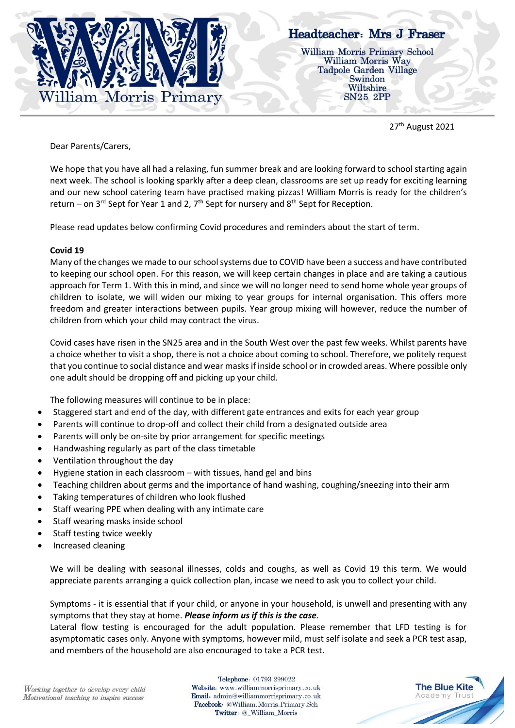

# Headteacher: Mrs J Fraser

**William Morris Primary School** William Morris Way **Tadpole Garden Village** Swindon Wiltshire SN25 2PP

27<sup>th</sup> August 2021

Dear Parents/Carers,

We hope that you have all had a relaxing, fun summer break and are looking forward to school starting again next week. The school is looking sparkly after a deep clean, classrooms are set up ready for exciting learning and our new school catering team have practised making pizzas! William Morris is ready for the children's return – on 3<sup>rd</sup> Sept for Year 1 and 2,  $7<sup>th</sup>$  Sept for nursery and 8<sup>th</sup> Sept for Reception.

Please read updates below confirming Covid procedures and reminders about the start of term.

## **Covid 19**

Many of the changes we made to our school systems due to COVID have been a success and have contributed to keeping our school open. For this reason, we will keep certain changes in place and are taking a cautious approach for Term 1. With this in mind, and since we will no longer need to send home whole year groups of children to isolate, we will widen our mixing to year groups for internal organisation. This offers more freedom and greater interactions between pupils. Year group mixing will however, reduce the number of children from which your child may contract the virus.

Covid cases have risen in the SN25 area and in the South West over the past few weeks. Whilst parents have a choice whether to visit a shop, there is not a choice about coming to school. Therefore, we politely request that you continue to social distance and wear masks if inside school or in crowded areas. Where possible only one adult should be dropping off and picking up your child.

The following measures will continue to be in place:

- Staggered start and end of the day, with different gate entrances and exits for each year group
- Parents will continue to drop-off and collect their child from a designated outside area
- Parents will only be on-site by prior arrangement for specific meetings
- Handwashing regularly as part of the class timetable
- Ventilation throughout the day
- Hygiene station in each classroom with tissues, hand gel and bins
- Teaching children about germs and the importance of hand washing, coughing/sneezing into their arm
- Taking temperatures of children who look flushed
- Staff wearing PPE when dealing with any intimate care
- Staff wearing masks inside school
- Staff testing twice weekly
- Increased cleaning

We will be dealing with seasonal illnesses, colds and coughs, as well as Covid 19 this term. We would appreciate parents arranging a quick collection plan, incase we need to ask you to collect your child.

Symptoms - it is essential that if your child, or anyone in your household, is unwell and presenting with any symptoms that they stay at home. *Please inform us if this is the case*.

Lateral flow testing is encouraged for the adult population. Please remember that LFD testing is for asymptomatic cases only. Anyone with symptoms, however mild, must self isolate and seek a PCR test asap, and members of the household are also encouraged to take a PCR test.